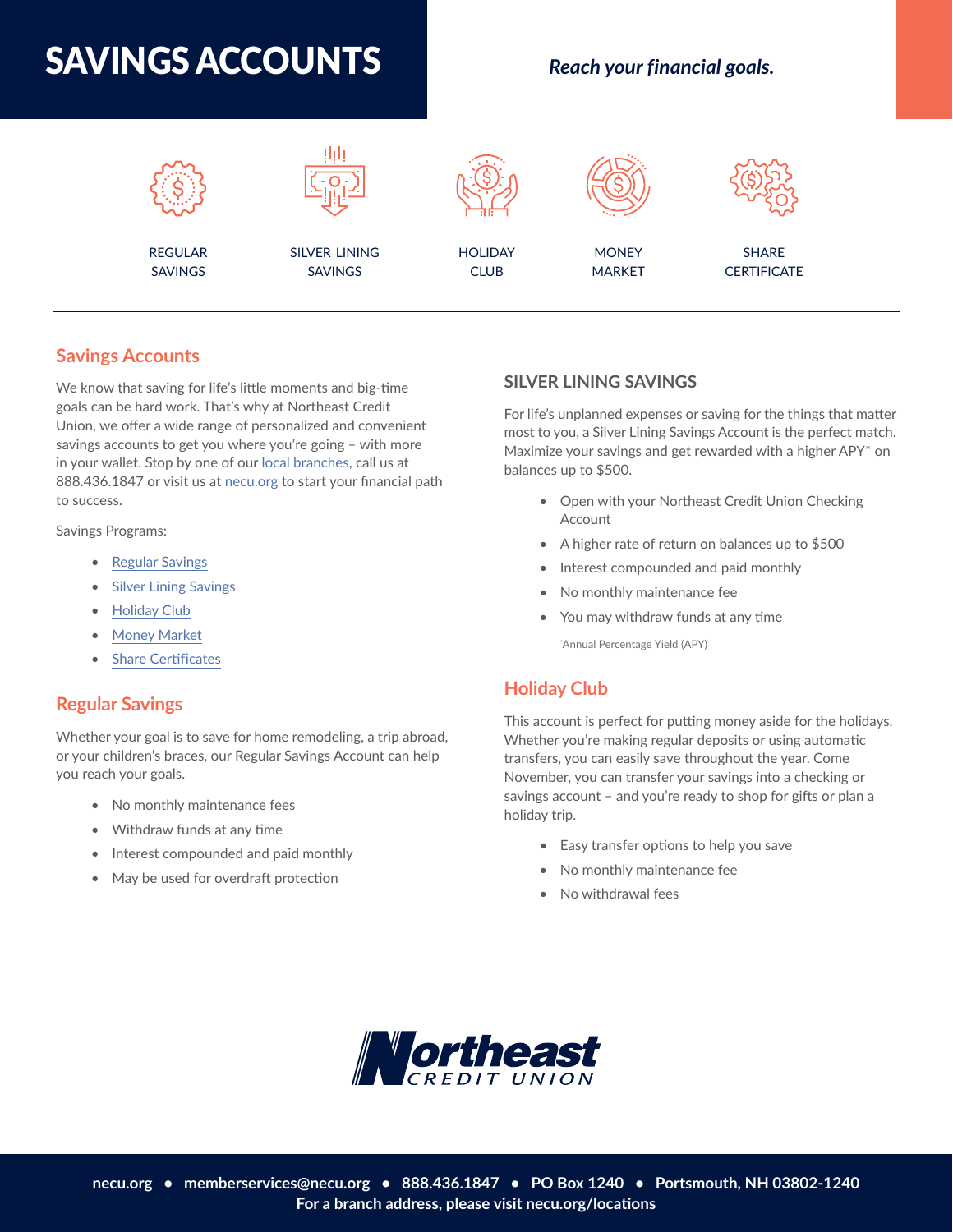



## **[Savings Accounts](https://necu.org/personal/savings/)**

We know that saving for life's little moments and big-time goals can be hard work. That's why at Northeast Credit Union, we offer a wide range of personalized and convenient savings accounts to get you where you're going - with more in your wallet. Stop by one of our [local branches](https://necu.org/locations?hsLang=en), call us at 888.436.1847 or visit us at [necu.org](https://necu.org/?hsLang=en) to start your financial path to success.

Savings Programs:

- [Regular Savings](https://necu.org/savings-comparison)
- [Silver Lining Savings](https://necu.org/silver-lining-savings)
- [Holiday Club](https://necu.org/club-savings)
- [Money Market](https://necu.org/money-market)
- [Share Certi](https://necu.org/share-certificates)ficates

#### **[Regular Savings](https://necu.org/personal/savings/savings-account/)**

Whether your goal is to save for home remodeling, a trip abroad, or your children's braces, our Regular Savings Account can help you reach your goals.

- No monthly maintenance fees
- Withdraw funds at any time
- Interest compounded and paid monthly
- May be used for overdraft protection

#### **[SILVER LINING SAVINGS](https://necu.org/personal/savings/silver-lining-savings-account/)**

For life's unplanned expenses or saving for the things that matter most to you, a Silver Lining Savings Account is the perfect match. Maximize your savings and get rewarded with a higher APY\* on balances up to \$500.

- Open with your Northeast Credit Union Checking Account
- A higher rate of return on balances up to \$500
- Interest compounded and paid monthly
- No monthly maintenance fee
- You may withdraw funds at any time

\* Annual Percentage Yield (APY)

#### **[Holiday Club](https://necu.org/personal/savings/holiday-club-account/)**

This account is perfect for putting money aside for the holidays. Whether you're making regular deposits or using automatic transfers, you can easily save throughout the year. Come November, you can transfer your savings into a checking or savings account – and you're ready to shop for gifts or plan a holiday trip.

- Easy transfer options to help you save
- No monthly maintenance fee
- No withdrawal fees